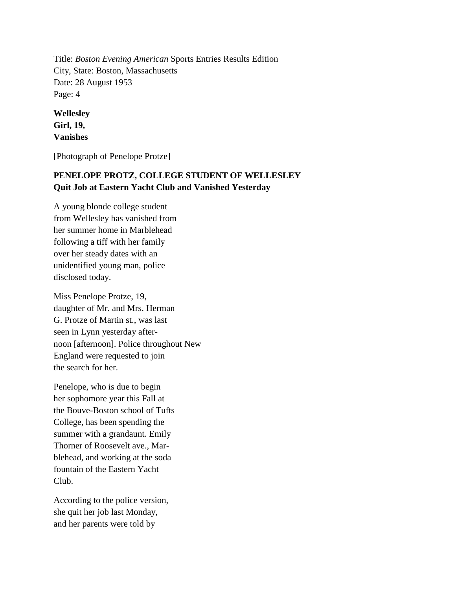Title: *Boston Evening American* Sports Entries Results Edition City, State: Boston, Massachusetts Date: 28 August 1953 Page: 4

**Wellesley Girl, 19, Vanishes**

[Photograph of Penelope Protze]

## **PENELOPE PROTZ, COLLEGE STUDENT OF WELLESLEY Quit Job at Eastern Yacht Club and Vanished Yesterday**

A young blonde college student from Wellesley has vanished from her summer home in Marblehead following a tiff with her family over her steady dates with an unidentified young man, police disclosed today.

Miss Penelope Protze, 19, daughter of Mr. and Mrs. Herman G. Protze of Martin st., was last seen in Lynn yesterday afternoon [afternoon]. Police throughout New England were requested to join the search for her.

Penelope, who is due to begin her sophomore year this Fall at the Bouve-Boston school of Tufts College, has been spending the summer with a grandaunt. Emily Thorner of Roosevelt ave., Marblehead, and working at the soda fountain of the Eastern Yacht Club.

According to the police version, she quit her job last Monday, and her parents were told by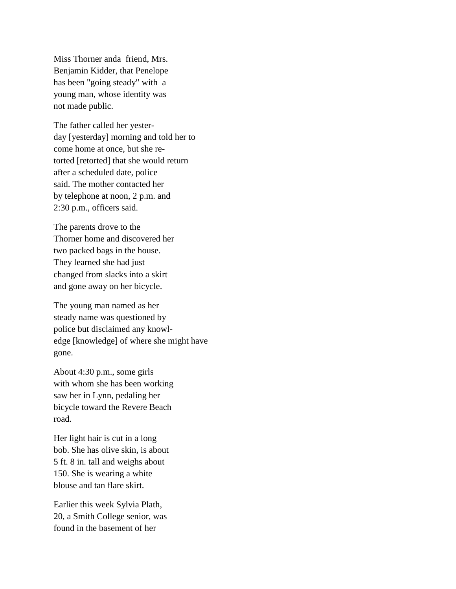Miss Thorner anda friend, Mrs. Benjamin Kidder, that Penelope has been "going steady" with a young man, whose identity was not made public.

The father called her yesterday [yesterday] morning and told her to come home at once, but she retorted [retorted] that she would return after a scheduled date, police said. The mother contacted her by telephone at noon, 2 p.m. and 2:30 p.m., officers said.

The parents drove to the Thorner home and discovered her two packed bags in the house. They learned she had just changed from slacks into a skirt and gone away on her bicycle.

The young man named as her steady name was questioned by police but disclaimed any knowledge [knowledge] of where she might have gone.

About 4:30 p.m., some girls with whom she has been working saw her in Lynn, pedaling her bicycle toward the Revere Beach road.

Her light hair is cut in a long bob. She has olive skin, is about 5 ft. 8 in. tall and weighs about 150. She is wearing a white blouse and tan flare skirt.

Earlier this week Sylvia Plath, 20, a Smith College senior, was found in the basement of her